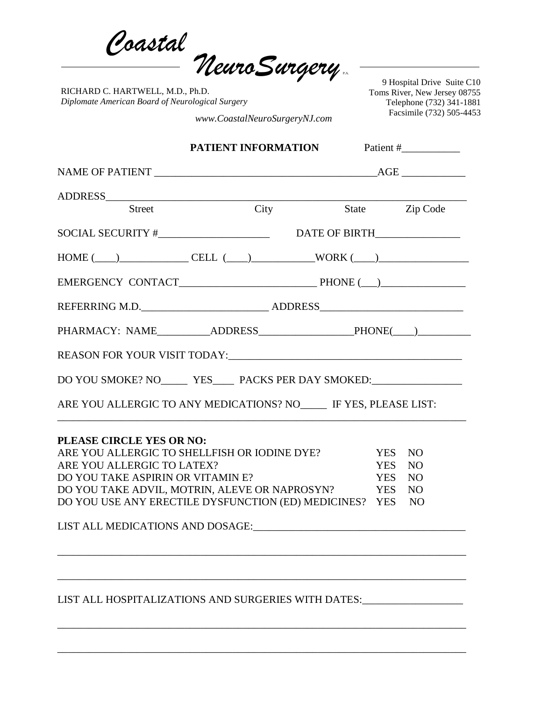*Coastal NeuroSurgery* P.A.

RICHARD C. HARTWELL, M.D., Ph.D. *Diplomate American Board of Neurological Surgery*

9 Hospital Drive Suite C10 Toms River, New Jersey 08755 Telephone (732) 341-1881 Facsimile (732) 505-4453 *www.CoastalNeuroSurgeryNJ.com*

|                                               |                                                                                             | Patient #                                                                                                                                                                                                                                                                                                                                                                                                       |  |
|-----------------------------------------------|---------------------------------------------------------------------------------------------|-----------------------------------------------------------------------------------------------------------------------------------------------------------------------------------------------------------------------------------------------------------------------------------------------------------------------------------------------------------------------------------------------------------------|--|
|                                               |                                                                                             |                                                                                                                                                                                                                                                                                                                                                                                                                 |  |
|                                               |                                                                                             |                                                                                                                                                                                                                                                                                                                                                                                                                 |  |
| $\overline{\mathrm{City}}$                    | State Zip Code                                                                              |                                                                                                                                                                                                                                                                                                                                                                                                                 |  |
|                                               |                                                                                             |                                                                                                                                                                                                                                                                                                                                                                                                                 |  |
|                                               |                                                                                             |                                                                                                                                                                                                                                                                                                                                                                                                                 |  |
|                                               |                                                                                             |                                                                                                                                                                                                                                                                                                                                                                                                                 |  |
|                                               |                                                                                             |                                                                                                                                                                                                                                                                                                                                                                                                                 |  |
|                                               |                                                                                             |                                                                                                                                                                                                                                                                                                                                                                                                                 |  |
|                                               |                                                                                             |                                                                                                                                                                                                                                                                                                                                                                                                                 |  |
|                                               |                                                                                             |                                                                                                                                                                                                                                                                                                                                                                                                                 |  |
|                                               |                                                                                             |                                                                                                                                                                                                                                                                                                                                                                                                                 |  |
|                                               |                                                                                             |                                                                                                                                                                                                                                                                                                                                                                                                                 |  |
|                                               |                                                                                             | <b>NO</b>                                                                                                                                                                                                                                                                                                                                                                                                       |  |
|                                               |                                                                                             | <b>NO</b>                                                                                                                                                                                                                                                                                                                                                                                                       |  |
|                                               |                                                                                             | NO<br>N <sub>O</sub>                                                                                                                                                                                                                                                                                                                                                                                            |  |
| DO YOU TAKE ADVIL, MOTRIN, ALEVE OR NAPROSYN? | <b>YES</b>                                                                                  |                                                                                                                                                                                                                                                                                                                                                                                                                 |  |
|                                               | PLEASE CIRCLE YES OR NO:<br>ARE YOU ALLERGIC TO LATEX?<br>DO YOU TAKE ASPIRIN OR VITAMIN E? | $\text{HOME} (\_\_) \_\_ \ \text{CELL} (\_\_) \_\_ \ \text{WORK} (\_\_) \_\_$<br>PHARMACY: NAME____________ADDRESS_________________________PHONE(____)___________<br>DO YOU SMOKE? NO_______ YES______ PACKS PER DAY SMOKED:_________________________<br>ARE YOU ALLERGIC TO ANY MEDICATIONS? NO IF YES, PLEASE LIST:<br>ARE YOU ALLERGIC TO SHELLFISH OR IODINE DYE?<br><b>YES</b><br><b>YES</b><br><b>YES</b> |  |

\_\_\_\_\_\_\_\_\_\_\_\_\_\_\_\_\_\_\_\_\_\_\_\_\_\_\_\_\_\_\_\_\_\_\_\_\_\_\_\_\_\_\_\_\_\_\_\_\_\_\_\_\_\_\_\_\_\_\_\_\_\_\_\_\_\_\_\_\_\_\_\_\_\_\_\_\_

\_\_\_\_\_\_\_\_\_\_\_\_\_\_\_\_\_\_\_\_\_\_\_\_\_\_\_\_\_\_\_\_\_\_\_\_\_\_\_\_\_\_\_\_\_\_\_\_\_\_\_\_\_\_\_\_\_\_\_\_\_\_\_\_\_\_\_\_\_\_\_\_\_\_\_\_\_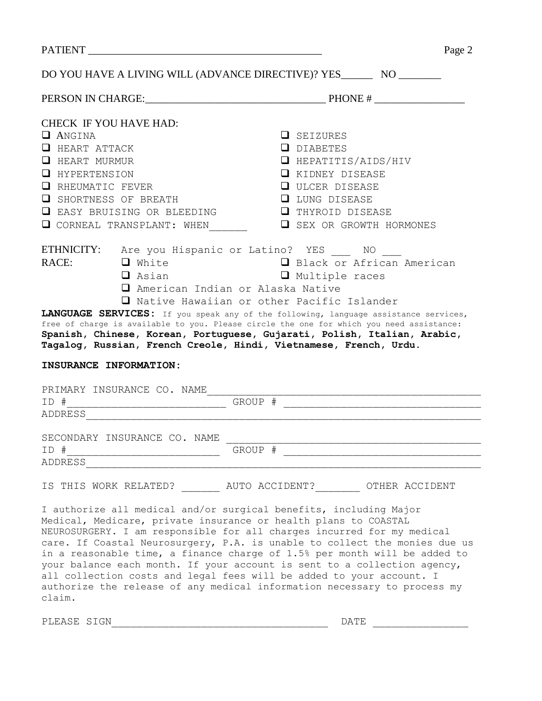|                                                                                                                                                                                | Page 2                                                                                                                                                                                                                                                                                                                                                                                                                                                                                                                                                                                                    |
|--------------------------------------------------------------------------------------------------------------------------------------------------------------------------------|-----------------------------------------------------------------------------------------------------------------------------------------------------------------------------------------------------------------------------------------------------------------------------------------------------------------------------------------------------------------------------------------------------------------------------------------------------------------------------------------------------------------------------------------------------------------------------------------------------------|
|                                                                                                                                                                                | DO YOU HAVE A LIVING WILL (ADVANCE DIRECTIVE)? YES_________ NO _________                                                                                                                                                                                                                                                                                                                                                                                                                                                                                                                                  |
|                                                                                                                                                                                |                                                                                                                                                                                                                                                                                                                                                                                                                                                                                                                                                                                                           |
| <b>CHECK IF YOU HAVE HAD:</b><br><b>Q</b> ANGINA                                                                                                                               | <b>Q</b> SEIZURES                                                                                                                                                                                                                                                                                                                                                                                                                                                                                                                                                                                         |
| $\Box$ HEART ATTACK<br>U HEART MURMUR<br><b>Q</b> HYPERTENSION<br>U RHEUMATIC FEVER<br>U SHORTNESS OF BREATH<br><b>E</b> EASY BRUISING OR BLEEDING<br>CORNEAL TRANSPLANT: WHEN | <b>Q</b> DIABETES<br>$\Box$ HEPATITIS/AIDS/HIV<br><b>E</b> KIDNEY DISEASE<br><b>Q</b> ULCER DISEASE<br><b>Q</b> LUNG DISEASE<br><b>Q</b> THYROID DISEASE<br><b>Q</b> SEX OR GROWTH HORMONES                                                                                                                                                                                                                                                                                                                                                                                                               |
| ETHNICITY: Are you Hispanic or Latino? YES NO<br>RACE:<br><b>Q</b> White<br>$\Box$ Asian<br>INSURANCE INFORMATION:                                                             | Black or African American<br>Multiple races<br>□ American Indian or Alaska Native<br>□ Native Hawaiian or other Pacific Islander<br>LANGUAGE SERVICES: If you speak any of the following, language assistance services,<br>free of charge is available to you. Please circle the one for which you need assistance:<br>Spanish, Chinese, Korean, Portuguese, Gujarati, Polish, Italian, Arabic,<br>Tagalog, Russian, French Creole, Hindi, Vietnamese, French, Urdu.                                                                                                                                      |
| PRIMARY INSURANCE CO. NAME                                                                                                                                                     |                                                                                                                                                                                                                                                                                                                                                                                                                                                                                                                                                                                                           |
| SECONDARY INSURANCE CO. NAME<br>ID #<br>ADDRESS                                                                                                                                | GROUP #                                                                                                                                                                                                                                                                                                                                                                                                                                                                                                                                                                                                   |
|                                                                                                                                                                                | IS THIS WORK RELATED? AUTO ACCIDENT? OTHER ACCIDENT                                                                                                                                                                                                                                                                                                                                                                                                                                                                                                                                                       |
|                                                                                                                                                                                | I authorize all medical and/or surgical benefits, including Major<br>Medical, Medicare, private insurance or health plans to COASTAL<br>NEUROSURGERY. I am responsible for all charges incurred for my medical<br>care. If Coastal Neurosurgery, P.A. is unable to collect the monies due us<br>in a reasonable time, a finance charge of 1.5% per month will be added to<br>your balance each month. If your account is sent to a collection agency,<br>all collection costs and legal fees will be added to your account. I<br>authorize the release of any medical information necessary to process my |

PLEASE SIGN\_\_\_\_\_\_\_\_\_\_\_\_\_\_\_\_\_\_\_\_\_\_\_\_\_\_\_\_\_\_\_\_\_\_ DATE \_\_\_\_\_\_\_\_\_\_\_\_\_\_\_

claim.